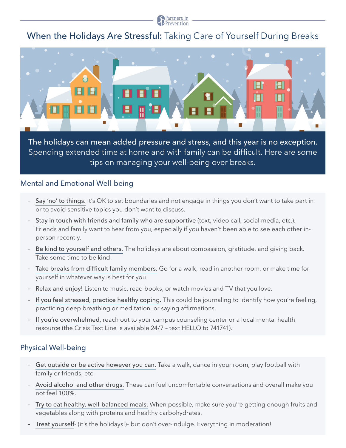

# When the Holidays Are Stressful: Taking Care of Yourself During Breaks



The holidays can mean added pressure and stress, and this year is no exception. Spending extended time at home and with family can be difficult. Here are some tips on managing your well-being over breaks.

### Mental and Emotional Well-being

- Say 'no' to things. It's OK to set boundaries and not engage in things you don't want to take part in or to avoid sensitive topics you don't want to discuss.
- Stay in touch with friends and family who are supportive (text, video call, social media, etc.). Friends and family want to hear from you, especially if you haven't been able to see each other inperson recently.
- Be kind to yourself and others. The holidays are about compassion, gratitude, and giving back. Take some time to be kind!
- Take breaks from difficult family members. Go for a walk, read in another room, or make time for yourself in whatever way is best for you.
- Relax and enjoy! Listen to music, read books, or watch movies and TV that you love.
- If you feel stressed, practice healthy coping. This could be journaling to identify how you're feeling, practicing deep breathing or meditation, or saying affirmations.
- If you're overwhelmed, reach out to your campus counseling center or a local mental health resource (the Crisis Text Line is available 24/7 – text HELLO to 741741).

## Physical Well-being

- Get outside or be active however you can. Take a walk, dance in your room, play football with family or friends, etc.
- Avoid alcohol and other drugs. These can fuel uncomfortable conversations and overall make you not feel 100%.
- Try to eat healthy, well-balanced meals. When possible, make sure you're getting enough fruits and vegetables along with proteins and healthy carbohydrates.
- Treat yourself- (it's the holidays!)- but don't over-indulge. Everything in moderation!